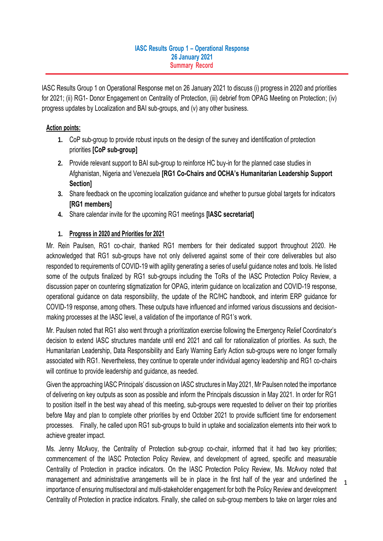#### **IASC Results Group 1 – Operational Response 26 January 2021 Summary Record**

IASC Results Group 1 on Operational Response met on 26 January 2021 to discuss (i) progress in 2020 and priorities for 2021; (ii) RG1- Donor Engagement on Centrality of Protection, (iii) debrief from OPAG Meeting on Protection; (iv) progress updates by Localization and BAI sub-groups, and (v) any other business.

#### **Action points:**

- **1.** CoP sub-group to provide robust inputs on the design of the survey and identification of protection priorities **[CoP sub-group]**
- **2.** Provide relevant support to BAI sub-group to reinforce HC buy-in for the planned case studies in Afghanistan, Nigeria and Venezuela **[RG1 Co-Chairs and OCHA's Humanitarian Leadership Support Section]**
- **3.** Share feedback on the upcoming localization guidance and whether to pursue global targets for indicators **[RG1 members]**
- **4.** Share calendar invite for the upcoming RG1 meetings **[IASC secretariat]**

## **1. Progress in 2020 and Priorities for 2021**

Mr. Rein Paulsen, RG1 co-chair, thanked RG1 members for their dedicated support throughout 2020. He acknowledged that RG1 sub-groups have not only delivered against some of their core deliverables but also responded to requirements of COVID-19 with agility generating a series of useful guidance notes and tools. He listed some of the outputs finalized by RG1 sub-groups including the ToRs of the IASC Protection Policy Review, a discussion paper on countering stigmatization for OPAG, interim guidance on localization and COVID-19 response, operational guidance on data responsibility, the update of the RC/HC handbook, and interim ERP guidance for COVID-19 response, among others. These outputs have influenced and informed various discussions and decisionmaking processes at the IASC level, a validation of the importance of RG1's work.

Mr. Paulsen noted that RG1 also went through a prioritization exercise following the Emergency Relief Coordinator's decision to extend IASC structures mandate until end 2021 and call for rationalization of priorities. As such, the Humanitarian Leadership, Data Responsibility and Early Warning Early Action sub-groups were no longer formally associated with RG1. Nevertheless, they continue to operate under individual agency leadership and RG1 co-chairs will continue to provide leadership and guidance, as needed.

Given the approaching IASC Principals' discussion on IASC structures in May 2021, Mr Paulsen noted the importance of delivering on key outputs as soon as possible and inform the Principals discussion in May 2021. In order for RG1 to position itself in the best way ahead of this meeting, sub-groups were requested to deliver on their top priorities before May and plan to complete other priorities by end October 2021 to provide sufficient time for endorsement processes. Finally, he called upon RG1 sub-groups to build in uptake and socialization elements into their work to achieve greater impact.

Ms. Jenny McAvoy, the Centrality of Protection sub-group co-chair, informed that it had two key priorities; commencement of the IASC Protection Policy Review, and development of agreed, specific and measurable Centrality of Protection in practice indicators. On the IASC Protection Policy Review, Ms. McAvoy noted that management and administrative arrangements will be in place in the first half of the year and underlined the importance of ensuring multisectoral and multi-stakeholder engagement for both the Policy Review and development Centrality of Protection in practice indicators. Finally, she called on sub-group members to take on larger roles and

1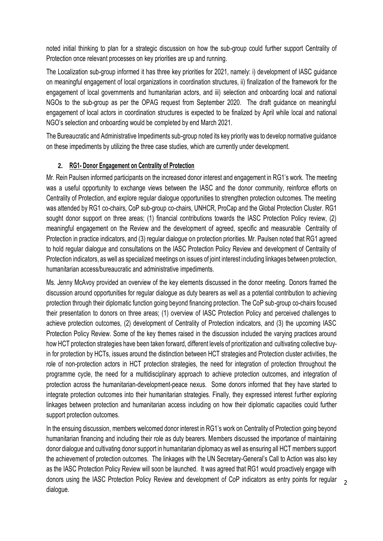noted initial thinking to plan for a strategic discussion on how the sub-group could further support Centrality of Protection once relevant processes on key priorities are up and running.

The Localization sub-group informed it has three key priorities for 2021, namely: i) development of IASC guidance on meaningful engagement of local organizations in coordination structures, ii) finalization of the framework for the engagement of local governments and humanitarian actors, and iii) selection and onboarding local and national NGOs to the sub-group as per the OPAG request from September 2020. The draft guidance on meaningful engagement of local actors in coordination structures is expected to be finalized by April while local and national NGO's selection and onboarding would be completed by end March 2021.

The Bureaucratic and Administrative Impediments sub-group noted its key priority was to develop normative guidance on these impediments by utilizing the three case studies, which are currently under development.

## **2. RG1- Donor Engagement on Centrality of Protection**

Mr. Rein Paulsen informed participants on the increased donor interest and engagement in RG1's work. The meeting was a useful opportunity to exchange views between the IASC and the donor community, reinforce efforts on Centrality of Protection, and explore regular dialogue opportunities to strengthen protection outcomes. The meeting was attended by RG1 co-chairs, CoP sub-group co-chairs, UNHCR, ProCap and the Global Protection Cluster. RG1 sought donor support on three areas; (1) financial contributions towards the IASC Protection Policy review, (2) meaningful engagement on the Review and the development of agreed, specific and measurable Centrality of Protection in practice indicators, and (3) regular dialogue on protection priorities. Mr. Paulsen noted that RG1 agreed to hold regular dialogue and consultations on the IASC Protection Policy Review and development of Centrality of Protection indicators, as well as specialized meetings on issues of joint interest including linkages between protection, humanitarian access/bureaucratic and administrative impediments.

Ms. Jenny McAvoy provided an overview of the key elements discussed in the donor meeting. Donors framed the discussion around opportunities for regular dialogue as duty bearers as well as a potential contribution to achieving protection through their diplomatic function going beyond financing protection. The CoP sub-group co-chairs focused their presentation to donors on three areas; (1) overview of IASC Protection Policy and perceived challenges to achieve protection outcomes, (2) development of Centrality of Protection indicators, and (3) the upcoming IASC Protection Policy Review. Some of the key themes raised in the discussion included the varying practices around how HCT protection strategies have been taken forward, different levels of prioritization and cultivating collective buyin for protection by HCTs, issues around the distinction between HCT strategies and Protection cluster activities, the role of non-protection actors in HCT protection strategies, the need for integration of protection throughout the programme cycle, the need for a multidisciplinary approach to achieve protection outcomes, and integration of protection across the humanitarian-development-peace nexus. Some donors informed that they have started to integrate protection outcomes into their humanitarian strategies. Finally, they expressed interest further exploring linkages between protection and humanitarian access including on how their diplomatic capacities could further support protection outcomes.

In the ensuing discussion, members welcomed donor interest in RG1's work on Centrality of Protection going beyond humanitarian financing and including their role as duty bearers. Members discussed the importance of maintaining donor dialogue and cultivating donor support in humanitarian diplomacy as well as ensuring all HCT members support the achievement of protection outcomes. The linkages with the UN Secretary-General's Call to Action was also key as the IASC Protection Policy Review will soon be launched. It was agreed that RG1 would proactively engage with donors using the IASC Protection Policy Review and development of CoP indicators as entry points for regular dialogue.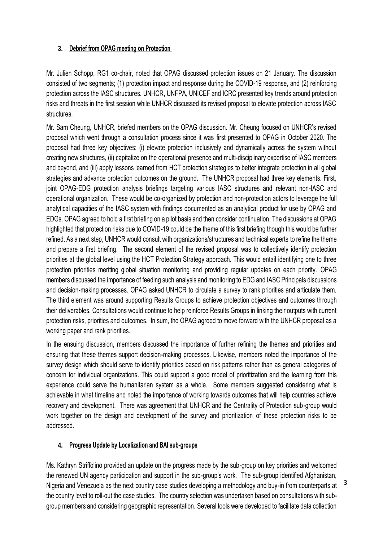## **3. Debrief from OPAG meeting on Protection**

Mr. Julien Schopp, RG1 co-chair, noted that OPAG discussed protection issues on 21 January. The discussion consisted of two segments; (1) protection impact and response during the COVID-19 response, and (2) reinforcing protection across the IASC structures. UNHCR, UNFPA, UNICEF and ICRC presented key trends around protection risks and threats in the first session while UNHCR discussed its revised proposal to elevate protection across IASC structures.

Mr. Sam Cheung, UNHCR, briefed members on the OPAG discussion. Mr. Cheung focused on UNHCR's revised proposal which went through a consultation process since it was first presented to OPAG in October 2020. The proposal had three key objectives; (i) elevate protection inclusively and dynamically across the system without creating new structures, (ii) capitalize on the operational presence and multi-disciplinary expertise of IASC members and beyond, and (iii) apply lessons learned from HCT protection strategies to better integrate protection in all global strategies and advance protection outcomes on the ground. The UNHCR proposal had three key elements. First, joint OPAG-EDG protection analysis briefings targeting various IASC structures and relevant non-IASC and operational organization. These would be co-organized by protection and non-protection actors to leverage the full analytical capacities of the IASC system with findings documented as an analytical product for use by OPAG and EDGs. OPAG agreed to hold a first briefing on a pilot basis and then consider continuation. The discussions at OPAG highlighted that protection risks due to COVID-19 could be the theme of this first briefing though this would be further refined. As a next step, UNHCR would consult with organizations/structures and technical experts to refine the theme and prepare a first briefing. The second element of the revised proposal was to collectively identify protection priorities at the global level using the HCT Protection Strategy approach. This would entail identifying one to three protection priorities meriting global situation monitoring and providing regular updates on each priority. OPAG members discussed the importance of feeding such analysis and monitoring to EDG and IASC Principals discussions and decision-making processes. OPAG asked UNHCR to circulate a survey to rank priorities and articulate them. The third element was around supporting Results Groups to achieve protection objectives and outcomes through their deliverables. Consultations would continue to help reinforce Results Groups in linking their outputs with current protection risks, priorities and outcomes. In sum, the OPAG agreed to move forward with the UNHCR proposal as a working paper and rank priorities.

In the ensuing discussion, members discussed the importance of further refining the themes and priorities and ensuring that these themes support decision-making processes. Likewise, members noted the importance of the survey design which should serve to identify priorities based on risk patterns rather than as general categories of concern for individual organizations. This could support a good model of prioritization and the learning from this experience could serve the humanitarian system as a whole. Some members suggested considering what is achievable in what timeline and noted the importance of working towards outcomes that will help countries achieve recovery and development. There was agreement that UNHCR and the Centrality of Protection sub-group would work together on the design and development of the survey and prioritization of these protection risks to be addressed.

#### **4. Progress Update by Localization and BAI sub-groups**

Ms. Kathryn Striffolino provided an update on the progress made by the sub-group on key priorities and welcomed the renewed UN agency participation and support in the sub-group's work. The sub-group identified Afghanistan, Nigeria and Venezuela as the next country case studies developing a methodology and buy-in from counterparts at the country level to roll-out the case studies. The country selection was undertaken based on consultations with subgroup members and considering geographic representation. Several tools were developed to facilitate data collection

3